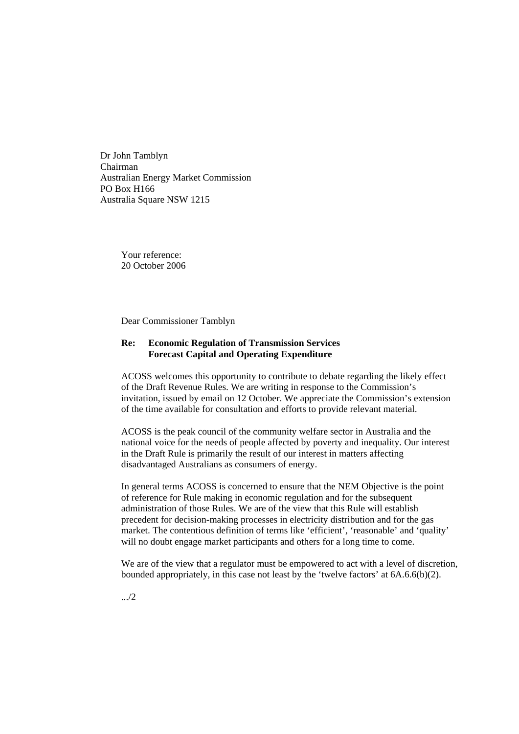Dr John Tamblyn Chairman Australian Energy Market Commission PO Box H166 Australia Square NSW 1215

> Your reference: 20 October 2006

Dear Commissioner Tamblyn

## **Re: Economic Regulation of Transmission Services Forecast Capital and Operating Expenditure**

ACOSS welcomes this opportunity to contribute to debate regarding the likely effect of the Draft Revenue Rules. We are writing in response to the Commission's invitation, issued by email on 12 October. We appreciate the Commission's extension of the time available for consultation and efforts to provide relevant material.

ACOSS is the peak council of the community welfare sector in Australia and the national voice for the needs of people affected by poverty and inequality. Our interest in the Draft Rule is primarily the result of our interest in matters affecting disadvantaged Australians as consumers of energy.

In general terms ACOSS is concerned to ensure that the NEM Objective is the point of reference for Rule making in economic regulation and for the subsequent administration of those Rules. We are of the view that this Rule will establish precedent for decision-making processes in electricity distribution and for the gas market. The contentious definition of terms like 'efficient', 'reasonable' and 'quality' will no doubt engage market participants and others for a long time to come.

We are of the view that a regulator must be empowered to act with a level of discretion, bounded appropriately, in this case not least by the 'twelve factors' at 6A.6.6(b)(2).